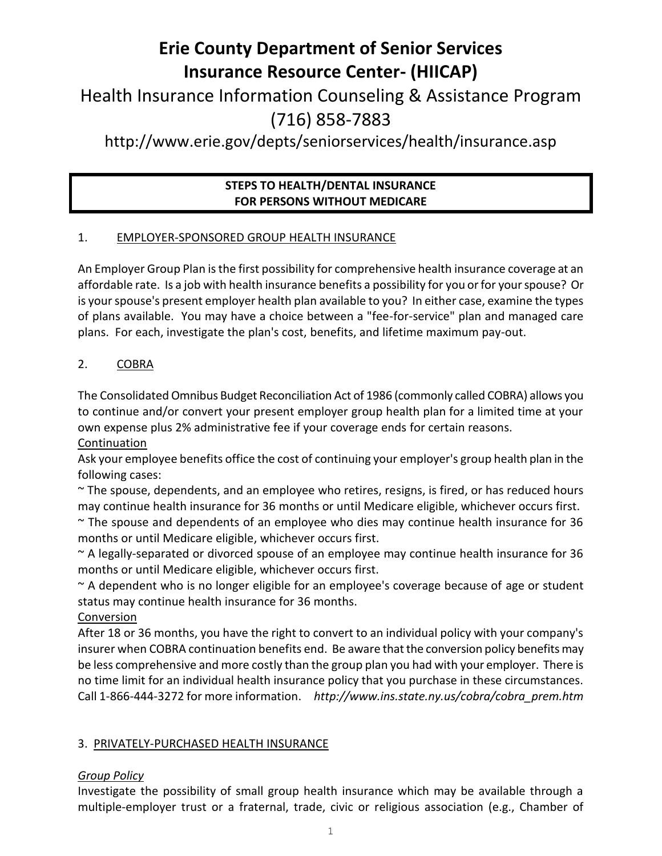# **Erie County Department of Senior Services Insurance Resource Center- (HIICAP)**

# Health Insurance Information Counseling & Assistance Program (716) 858-7883

# http://www.erie.gov/depts/seniorservices/health/insurance.asp

# **STEPS TO HEALTH/DENTAL INSURANCE FOR PERSONS WITHOUT MEDICARE**

# 1. EMPLOYER-SPONSORED GROUP HEALTH INSURANCE

An Employer Group Plan is the first possibility for comprehensive health insurance coverage at an affordable rate. Is a job with health insurance benefits a possibility for you or for your spouse? Or is your spouse's present employer health plan available to you? In either case, examine the types of plans available. You may have a choice between a "fee-for-service" plan and managed care plans. For each, investigate the plan's cost, benefits, and lifetime maximum pay-out.

# 2. COBRA

The Consolidated Omnibus Budget Reconciliation Act of 1986 (commonly called COBRA) allows you to continue and/or convert your present employer group health plan for a limited time at your own expense plus 2% administrative fee if your coverage ends for certain reasons. Continuation

Ask your employee benefits office the cost of continuing your employer's group health plan in the following cases:

 $\sim$  The spouse, dependents, and an employee who retires, resigns, is fired, or has reduced hours may continue health insurance for 36 months or until Medicare eligible, whichever occurs first.

~ The spouse and dependents of an employee who dies may continue health insurance for 36 months or until Medicare eligible, whichever occurs first.

~ A legally-separated or divorced spouse of an employee may continue health insurance for 36 months or until Medicare eligible, whichever occurs first.

~ A dependent who is no longer eligible for an employee's coverage because of age or student status may continue health insurance for 36 months.

#### Conversion

After 18 or 36 months, you have the right to convert to an individual policy with your company's insurer when COBRA continuation benefits end. Be aware that the conversion policy benefits may be less comprehensive and more costly than the group plan you had with your employer. There is no time limit for an individual health insurance policy that you purchase in these circumstances. Call 1-866-444-3272 for more information. *http://www.ins.state.ny.us/cobra/cobra\_prem.htm*

#### 3. PRIVATELY-PURCHASED HEALTH INSURANCE

#### *Group Policy*

Investigate the possibility of small group health insurance which may be available through a multiple-employer trust or a fraternal, trade, civic or religious association (e.g., Chamber of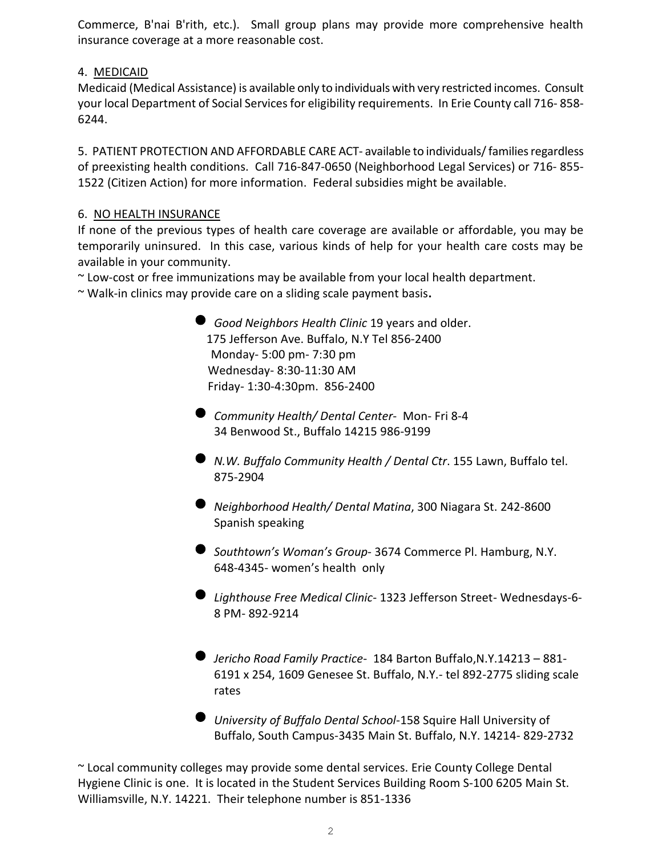Commerce, B'nai B'rith, etc.). Small group plans may provide more comprehensive health insurance coverage at a more reasonable cost.

# 4. MEDICAID

Medicaid (Medical Assistance) is available only to individuals with very restricted incomes. Consult your local Department of Social Services for eligibility requirements. In Erie County call 716- 858- 6244.

5. PATIENT PROTECTION AND AFFORDABLE CARE ACT- available to individuals/ families regardless of preexisting health conditions. Call 716-847-0650 (Neighborhood Legal Services) or 716- 855- 1522 (Citizen Action) for more information. Federal subsidies might be available.

# 6. NO HEALTH INSURANCE

If none of the previous types of health care coverage are available or affordable, you may be temporarily uninsured. In this case, various kinds of help for your health care costs may be available in your community.

~ Low-cost or free immunizations may be available from your local health department.

~ Walk-in clinics may provide care on a sliding scale payment basis**.** 

- *Good Neighbors Health Clinic* 19 years and older. 175 Jefferson Ave. Buffalo, N.Y Tel 856-2400 Monday- 5:00 pm- 7:30 pm Wednesday- 8:30-11:30 AM Friday- 1:30-4:30pm. 856-2400
- *Community Health/ Dental Center* Mon- Fri 8-4 34 Benwood St., Buffalo 14215 986-9199
- *N.W. Buffalo Community Health / Dental Ctr*. 155 Lawn, Buffalo tel. 875-2904
- *Neighborhood Health/ Dental Matina*, 300 Niagara St. 242-8600 Spanish speaking
- *Southtown's <sup>W</sup>oman's Group* 3674 Commerce Pl. Hamburg, N.Y. 648-4345- women's health only
- *Lighthouse Free Medical Clinic* 1323 Jefferson Street- Wednesdays-6- 8 PM- 892-9214
- *Jericho Road Family Practice* 184 Barton Buffalo,N.Y.14213 881- 6191 x 254, 1609 Genesee St. Buffalo, N.Y.- tel 892-2775 sliding scale rates
- *University of Buffalo Dental School*-158 Squire Hall University of Buffalo, South Campus-3435 Main St. Buffalo, N.Y. 14214- 829-2732

~ Local community colleges may provide some dental services. Erie County College Dental Hygiene Clinic is one. It is located in the Student Services Building Room S-100 6205 Main St. Williamsville, N.Y. 14221. Their telephone number is 851-1336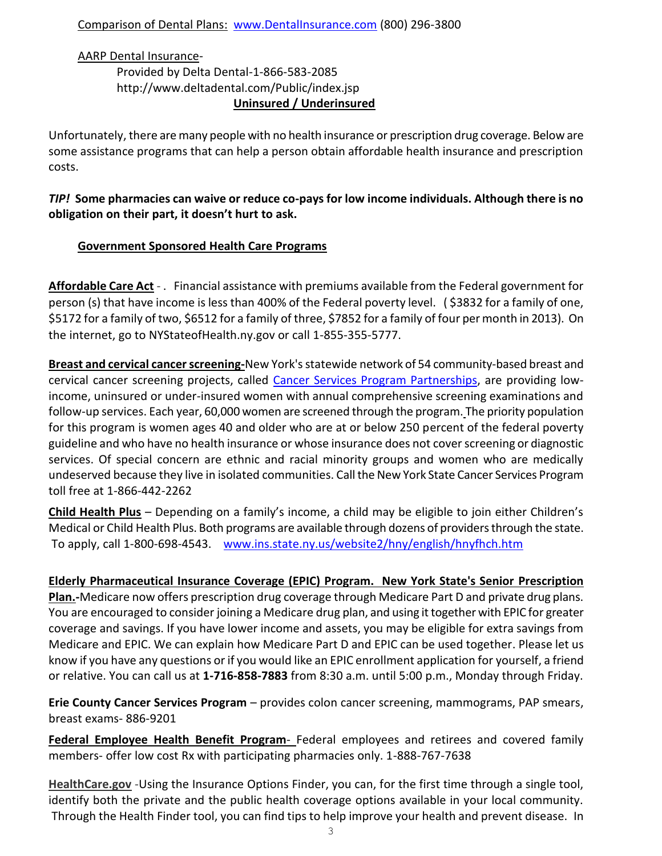#### AARP Dental Insurance-

#### Provided by Delta Dental-1-866-583-2085 http://www.deltadental.com/Public/index.jsp **Uninsured / Underinsured**

Unfortunately, there are many people with no health insurance or prescription drug coverage. Below are some assistance programs that can help a person obtain affordable health insurance and prescription costs.

*TIP!* **Some pharmacies can waive or reduce co-pays for low income individuals. Although there is no obligation on their part, it doesn't hurt to ask.** 

#### **Government Sponsored Health Care Programs**

Affordable Care Act - . Financial assistance with premiums available from the Federal government for person (s) that have income is less than 400% of the Federal poverty level. (\$3832 for a family of one, \$5172 for a family of two, \$6512 for a family of three, \$7852 for a family of four per month in 2013). On the internet, go to NYStateofHealth.ny.gov or call 1-855-355-5777.

**Breast and cervical cancer screening-**New York's statewide network of 54 community-based breast and cervical cancer screening projects, called [Cancer Services Program Partnerships,](http://www.health.state.ny.us/nysdoh/cancer/center/partnerships/) are providing lowincome, uninsured or under-insured women with annual comprehensive screening examinations and follow-up services. Each year, 60,000 women are screened through the program. The priority population for this program is women ages 40 and older who are at or below 250 percent of the federal poverty guideline and who have no health insurance or whose insurance does not cover screening or diagnostic services. Of special concern are ethnic and racial minority groups and women who are medically undeserved because they live in isolated communities. Call the New York State Cancer Services Program toll free at 1-866-442-2262

**Child Health Plus** – Depending on a family's income, a child may be eligible to join either Children's Medical or Child Health Plus. Both programs are available through dozens of providers through the state. To apply, call 1-800-698-4543. [www.ins.state.ny.us/website2/hny/english/hnyfhch.htm](http://www.ins.state.ny.us/website2/hny/english/hnyfhch.htm)

**Elderly Pharmaceutical Insurance Coverage (EPIC) Program. New York State's Senior Prescription Plan.-**Medicare now offers prescription drug coverage through Medicare Part D and private drug plans. You are encouraged to consider joining a Medicare drug plan, and using it together with EPIC for greater coverage and savings. If you have lower income and assets, you may be eligible for extra savings from Medicare and EPIC. We can explain how Medicare Part D and EPIC can be used together. Please let us know if you have any questions or if you would like an EPIC enrollment application for yourself, a friend or relative. You can call us at **1-716-858-7883** from 8:30 a.m. until 5:00 p.m., Monday through Friday.

**Erie County Cancer Services Program** – provides colon cancer screening, mammograms, PAP smears, breast exams- 886-9201

**Federal Employee Health Benefit Program**- Federal employees and retirees and covered family members- offer low cost Rx with participating pharmacies only. 1-888-767-7638

**HealthCare.gov** -Using the Insurance Options Finder, you can, for the first time through a single tool, identify both the private and the public health coverage options available in your local community. Through the Health Finder tool, you can find tips to help improve your health and prevent disease. In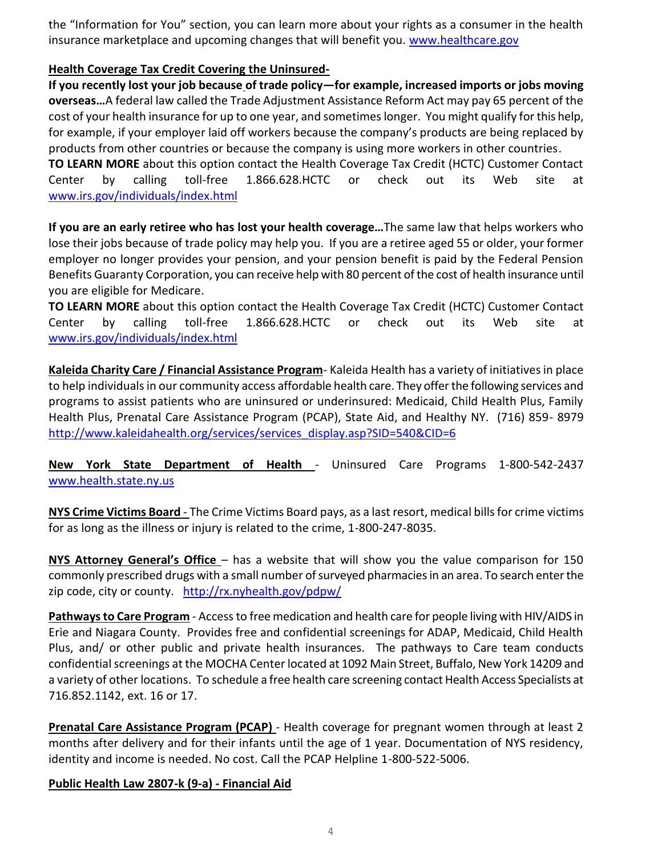the "Information for You" section, you can learn more about your rights as a consumer in the health insurance marketplace and upcoming changes that will benefit you. [www.healthcare.gov](http://www.healthcare.gov/)

#### **Health Coverage Tax Credit Covering the Uninsured-**

**If you recently lost your job because of trade policy—for example, increased imports or jobs moving overseas…**A federal law called the Trade Adjustment Assistance Reform Act may pay 65 percent of the cost of your health insurance for up to one year, and sometimes longer. You might qualify for this help, for example, if your employer laid off workers because the company's products are being replaced by products from other countries or because the company is using more workers in other countries.

**TO LEARN MORE** about this option contact the Health Coverage Tax Credit (HCTC) Customer Contact Center by calling toll-free 1.866.628.HCTC or check out its Web site at [www.irs.gov/individuals/index.html](http://www.irs.gov/individuals/index.html)

**If you are an early retiree who has lost your health coverage…**The same law that helps workers who lose their jobs because of trade policy may help you. If you are a retiree aged 55 or older, your former employer no longer provides your pension, and your pension benefit is paid by the Federal Pension Benefits Guaranty Corporation, you can receive help with 80 percent of the cost of health insurance until you are eligible for Medicare.

**TO LEARN MORE** about this option contact the Health Coverage Tax Credit (HCTC) Customer Contact Center by calling toll-free 1.866.628.HCTC or check out its Web site at [www.irs.gov/individuals/index.html](http://www.irs.gov/individuals/index.html)

**Kaleida Charity Care / Financial Assistance Program**- Kaleida Health has a variety of initiatives in place to help individuals in our community access affordable health care. They offer the following services and programs to assist patients who are uninsured or underinsured: Medicaid, Child Health Plus, Family Health Plus, Prenatal Care Assistance Program (PCAP), State Aid, and Healthy NY. (716) 859- 8979 [http://www.kaleidahealth.org/services/services\\_display.asp?SID=540&CID=6](http://www.kaleidahealth.org/services/services_display.asp?SID=540&CID=6)

**New York State Department of Health** - Uninsured Care Programs 1-800-542-2437 [www.health.state.ny.us](http://www.health.state.ny.us/) 

**NYS Crime Victims Board** - The Crime Victims Board pays, as a last resort, medical bills for crime victims for as long as the illness or injury is related to the crime, 1-800-247-8035.

**NYS Attorney General's Office** – has a website that will show you the value comparison for 150 commonly prescribed drugs with a small number of surveyed pharmacies in an area. To search enter the zip code, city or county. <http://rx.nyhealth.gov/pdpw/>

**Pathways to Care Program** - Accessto free medication and health care for people living with HIV/AIDS in Erie and Niagara County. Provides free and confidential screenings for ADAP, Medicaid, Child Health Plus, and/ or other public and private health insurances. The pathways to Care team conducts confidential screenings at the MOCHA Center located at 1092 Main Street, Buffalo, New York 14209 and a variety of other locations. To schedule a free health care screening contact Health Access Specialists at 716.852.1142, ext. 16 or 17.

**Prenatal Care Assistance Program (PCAP)** - Health coverage for pregnant women through at least 2 months after delivery and for their infants until the age of 1 year. Documentation of NYS residency, identity and income is needed. No cost. Call the PCAP Helpline 1-800-522-5006.

#### **Public Health Law 2807-k (9-a) - Financial Aid**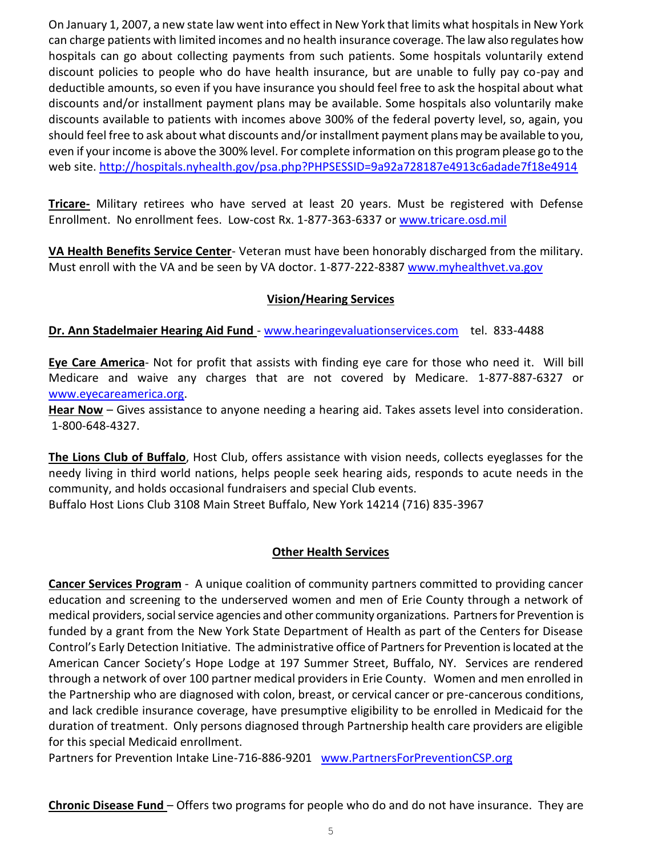On January 1, 2007, a new state law went into effect in New York that limits what hospitals in New York can charge patients with limited incomes and no health insurance coverage. The law also regulates how hospitals can go about collecting payments from such patients. Some hospitals voluntarily extend discount policies to people who do have health insurance, but are unable to fully pay co-pay and deductible amounts, so even if you have insurance you should feel free to ask the hospital about what discounts and/or installment payment plans may be available. Some hospitals also voluntarily make discounts available to patients with incomes above 300% of the federal poverty level, so, again, you should feel free to ask about what discounts and/or installment payment plans may be available to you, even if your income is above the 300% level. For complete information on this program please go to the web site.<http://hospitals.nyhealth.gov/psa.php?PHPSESSID=9a92a728187e4913c6adade7f18e4914>

**Tricare-** Military retirees who have served at least 20 years. Must be registered with Defense Enrollment. No enrollment fees. Low-cost Rx. 1-877-363-6337 or [www.tricare.osd.mil](http://www.tricare.osd.mil/)

**VA Health Benefits Service Center**- Veteran must have been honorably discharged from the military. Must enroll with the VA and be seen by VA doctor. 1-877-222-8387 [www.myhealthvet.va.gov](http://www.myhealthvet.va.gov/)

# **Vision/Hearing Services**

**Dr. Ann Stadelmaier Hearing Aid Fund** - [www.hearingevaluationservices.com](http://www.hearingevaluationservices.com/) tel. 833-4488

**Eye Care America**- Not for profit that assists with finding eye care for those who need it. Will bill Medicare and waive any charges that are not covered by Medicare. 1-877-887-6327 or [www.eyecareamerica.org.](http://www.eyecareamerica.org/)

**Hear Now** – Gives assistance to anyone needing a hearing aid. Takes assets level into consideration. 1-800-648-4327.

**The Lions Club of Buffalo**, Host Club, offers assistance with vision needs, collects eyeglasses for the needy living in third world nations, helps people seek hearing aids, responds to acute needs in the community, and holds occasional fundraisers and special Club events. Buffalo Host Lions Club 3108 Main Street Buffalo, New York 14214 (716) 835-3967

# **Other Health Services**

**Cancer Services Program** - A unique coalition of community partners committed to providing cancer education and screening to the underserved women and men of Erie County through a network of medical providers, social service agencies and other community organizations. Partners for Prevention is funded by a grant from the New York State Department of Health as part of the Centers for Disease Control's Early Detection Initiative. The administrative office of Partners for Prevention is located at the American Cancer Society's Hope Lodge at 197 Summer Street, Buffalo, NY. Services are rendered through a network of over 100 partner medical providers in Erie County. Women and men enrolled in the Partnership who are diagnosed with colon, breast, or cervical cancer or pre-cancerous conditions, and lack credible insurance coverage, have presumptive eligibility to be enrolled in Medicaid for the duration of treatment. Only persons diagnosed through Partnership health care providers are eligible for this special Medicaid enrollment.

Partners for Prevention Intake Line-716-886-9201 [www.PartnersForPreventionCSP.org](http://www.partnersforpreventioncsp.org/)

**Chronic Disease Fund** – Offers two programs for people who do and do not have insurance. They are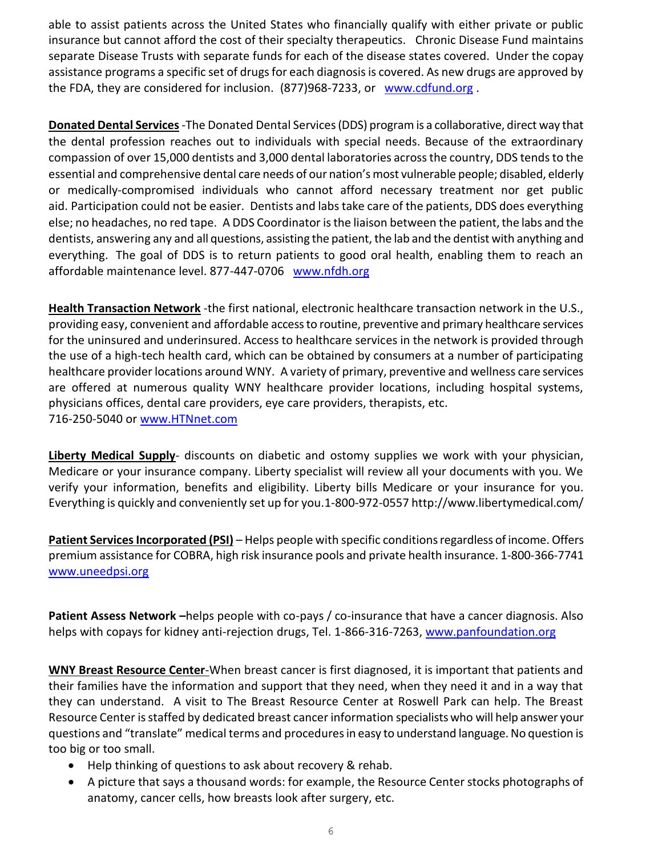able to assist patients across the United States who financially qualify with either private or public insurance but cannot afford the cost of their specialty therapeutics. Chronic Disease Fund maintains separate Disease Trusts with separate funds for each of the disease states covered. Under the copay assistance programs a specific set of drugs for each diagnosis is covered. As new drugs are approved by the FDA, they are considered for inclusion. (877)968-7233, or [www.cdfund.org](http://www.cdfund.org/) .

**Donated Dental Services**-The Donated Dental Services (DDS) program is a collaborative, direct way that the dental profession reaches out to individuals with special needs. Because of the extraordinary compassion of over 15,000 dentists and 3,000 dental laboratories across the country, DDS tends to the essential and comprehensive dental care needs of our nation's most vulnerable people; disabled, elderly or medically-compromised individuals who cannot afford necessary treatment nor get public aid. Participation could not be easier. Dentists and labs take care of the patients, DDS does everything else; no headaches, no red tape. A DDS Coordinator is the liaison between the patient, the labs and the dentists, answering any and all questions, assisting the patient, the lab and the dentist with anything and everything. The goal of DDS is to return patients to good oral health, enabling them to reach an affordable maintenance level. 877-447-0706 [www.nfdh.org](http://www.nfdh.org/)

**Health Transaction Network** -the first national, electronic healthcare transaction network in the U.S., providing easy, convenient and affordable access to routine, preventive and primary healthcare services for the uninsured and underinsured. Access to healthcare services in the network is provided through the use of a high-tech health card, which can be obtained by consumers at a number of participating healthcare provider locations around WNY. A variety of primary, preventive and wellness care services are offered at numerous quality WNY healthcare provider locations, including hospital systems, physicians offices, dental care providers, eye care providers, therapists, etc. 716-250-5040 or [www.HTNnet.com](http://www.htnnet.com/)

**Liberty Medical Supply**- discounts on diabetic and ostomy supplies we work with your physician, Medicare or your insurance company. Liberty specialist will review all your documents with you. We verify your information, benefits and eligibility. Liberty bills Medicare or your insurance for you. Everything is quickly and conveniently set up for you.1-800-972-0557 http://www.libertymedical.com/

**Patient Services Incorporated (PSI)** – Helps people with specific conditions regardless of income. Offers premium assistance for COBRA, high risk insurance pools and private health insurance. 1-800-366-7741 [www.uneedpsi.org](http://www.uneedpsi.org/)

**Patient Assess Network –**helps people with co-pays / co-insurance that have a cancer diagnosis. Also helps with copays for kidney anti-rejection drugs, Tel. 1-866-316-7263, [www.panfoundation.org](http://www.panfoundation.org/)

**WNY Breast Resource Center**-When breast cancer is first diagnosed, it is important that patients and their families have the information and support that they need, when they need it and in a way that they can understand. A visit to The Breast Resource Center at Roswell Park can help. The Breast Resource Center is staffed by dedicated breast cancer information specialists who will help answer your questions and "translate" medical terms and procedures in easy to understand language. No question is too big or too small.

- Help thinking of questions to ask about recovery & rehab.
- A picture that says a thousand words: for example, the Resource Center stocks photographs of anatomy, cancer cells, how breasts look after surgery, etc.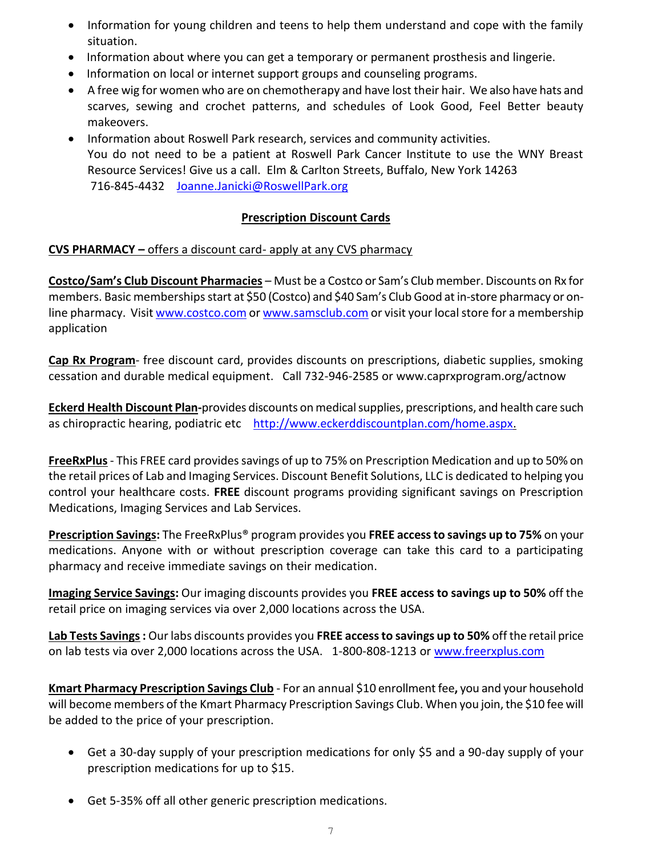- Information for young children and teens to help them understand and cope with the family situation.
- Information about where you can get a temporary or permanent prosthesis and lingerie.
- Information on local or internet support groups and counseling programs.
- A free wig for women who are on chemotherapy and have lost their hair. We also have hats and scarves, sewing and crochet patterns, and schedules of Look Good, Feel Better beauty makeovers.
- Information about Roswell Park research, services and community activities. You do not need to be a patient at Roswell Park Cancer Institute to use the WNY Breast Resource Services! Give us a call. Elm & Carlton Streets, Buffalo, New York 14263 716-845-4432 [Joanne.Janicki@RoswellPark.org](mailto:Joanne.Janicki@RoswellPark.org)

#### **Prescription Discount Cards**

#### **CVS PHARMACY –** offers a discount card- apply at any CVS pharmacy

**Costco/Sam's Club Discount Pharmacies** – Must be a Costco or Sam's Club member. Discounts on Rx for members. Basic memberships start at \$50 (Costco) and \$40 Sam's Club Good at in-store pharmacy or online pharmacy. Visit [www.costco.com](http://www.costco.com/) or [www.samsclub.com](http://www.samsclub.com/) or visit your local store for a membership application

**Cap Rx Program**- free discount card, provides discounts on prescriptions, diabetic supplies, smoking cessation and durable medical equipment. Call 732-946-2585 or www.caprxprogram.org/actnow

**Eckerd Health Discount Plan-**provides discounts on medical supplies, prescriptions, and health care such as chiropractic hearing, podiatric etc [http://www.eckerddiscountplan.com/home.aspx.](http://www.eckerddiscountplan.com/home.aspx)

**FreeRxPlus**- This FREE card provides savings of up to 75% on Prescription Medication and up to 50% on the retail prices of Lab and Imaging Services. Discount Benefit Solutions, LLC is dedicated to helping you control your healthcare costs. **FREE** discount programs providing significant savings on Prescription Medications, Imaging Services and Lab Services.

**[Prescription Savings:](http://www.freerxplus.com/en/Prescription.html)** The FreeRxPlus® program provides you **FREE access to savings up to 75%** on your medications. Anyone with or without prescription coverage can take this card to a participating pharmacy and receive immediate savings on their medication.

**Imaging Service Savings:** Our imaging discounts provides you **FREE access to savings up to 50%** off the retail price on imaging services via over 2,000 locations across the USA.

**Lab Tests Savings:** Our labs discounts provides you **FREE access to savings up to 50%** off the retail price on lab tests via over 2,000 locations across the USA. 1-800-808-1213 or [www.freerxplus.com](http://www.freerxplus.com/)

Kmart Pharmacy Prescription Savings Club - For an annual \$10 enrollment fee, you and your household will become members of the Kmart Pharmacy Prescription Savings Club. When you join, the \$10 fee will be added to the price of your prescription.

- Get a 30-day supply of your prescription medications for only \$5 and a 90-day supply of your prescription medications for up to \$15.
- Get 5-35% off all other generic prescription medications.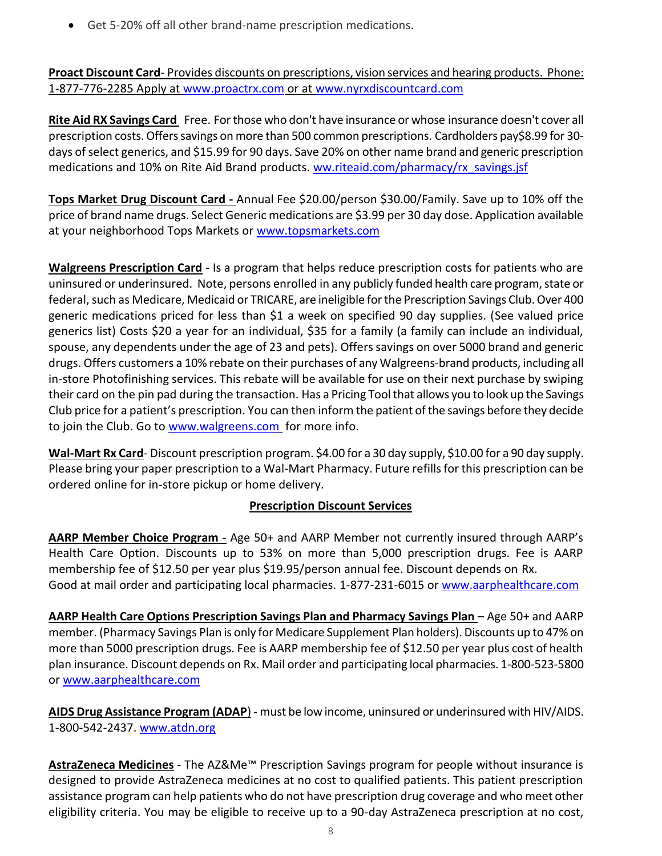• Get 5-20% off all other brand-name prescription medications.

**Proact Discount Card**- Provides discounts on prescriptions, vision services and hearing products. Phone: 1-877-776-2285 Apply at [www.proactrx.com](http://www.proactrx.com/) or at [www.nyrxdiscountcard.com](http://www.nyrxdiscountcard.com/)

**Rite Aid RX Savings Card** Free. For those who don't have insurance or whose insurance doesn't cover all prescription costs. Offers savings on more than 500 common prescriptions. Cardholders pay\$8.99 for 30days of select generics, and \$15.99 for 90 days. Save 20% on other name brand and generic prescription medications and 10% on Rite Aid Brand products. ww.riteaid.com/pharmacy/rx\_savings.jsf

**Tops Market Drug Discount Card -** Annual Fee \$20.00/person \$30.00/Family. Save up to 10% off the price of brand name drugs. Select Generic medications are \$3.99 per 30 day dose. Application available at your neighborhood Tops Markets or [www.topsmarkets.com](http://www.topsmarkets.com/)

**Walgreens Prescription Card** - Is a program that helps reduce prescription costs for patients who are uninsured or underinsured. Note, persons enrolled in any publicly funded health care program, state or federal, such as Medicare, Medicaid or TRICARE, are ineligible for the Prescription Savings Club. Over 400 generic medications priced for less than \$1 a week on specified 90 day supplies. (See valued price generics list) Costs \$20 a year for an individual, \$35 for a family (a family can include an individual, spouse, any dependents under the age of 23 and pets). Offers savings on over 5000 brand and generic drugs. Offers customers a 10% rebate on their purchases of any Walgreens-brand products, including all in-store Photofinishing services. This rebate will be available for use on their next purchase by swiping their card on the pin pad during the transaction. Has a Pricing Tool that allows you to look up the Savings Club price for a patient's prescription. You can then inform the patient of the savings before they decide to join the Club. Go to [www.walgreens.com](http://www.walgreens.com/) for more info.

**Wal-Mart Rx Card**- Discount prescription program. \$4.00 for a 30 day supply, \$10.00 for a 90 day supply. Please bring your paper prescription to a Wal-Mart Pharmacy. Future refills for this prescription can be ordered online for in-store pickup or home delivery.

#### **Prescription Discount Services**

**AARP Member Choice Program** - Age 50+ and AARP Member not currently insured through AARP's Health Care Option. Discounts up to 53% on more than 5,000 prescription drugs. Fee is AARP membership fee of \$12.50 per year plus \$19.95/person annual fee. Discount depends on Rx. Good at mail order and participating local pharmacies. 1-877-231-6015 or [www.aarphealthcare.com](http://www.aarphealthcare.com/)

**AARP Health Care Options Prescription Savings Plan and Pharmacy Savings Plan** – Age 50+ and AARP member. (Pharmacy Savings Plan is only for Medicare Supplement Plan holders). Discounts up to 47% on more than 5000 prescription drugs. Fee is AARP membership fee of \$12.50 per year plus cost of health plan insurance. Discount depends on Rx. Mail order and participating local pharmacies. 1-800-523-5800 or [www.aarphealthcare.com](http://www.aarphealthcare.com/)

**AIDS Drug Assistance Program (ADAP**) - must be low income, uninsured or underinsured with HIV/AIDS. 1-800-542-2437. [www.atdn.org](http://www.atdn.org/)

**AstraZeneca Medicines** - The AZ&Me™ Prescription Savings program for people without insurance is designed to provide AstraZeneca medicines at no cost to qualified patients. This patient prescription assistance program can help patients who do not have prescription drug coverage and who meet other eligibility criteria. You may be eligible to receive up to a 90-day AstraZeneca prescription at no cost,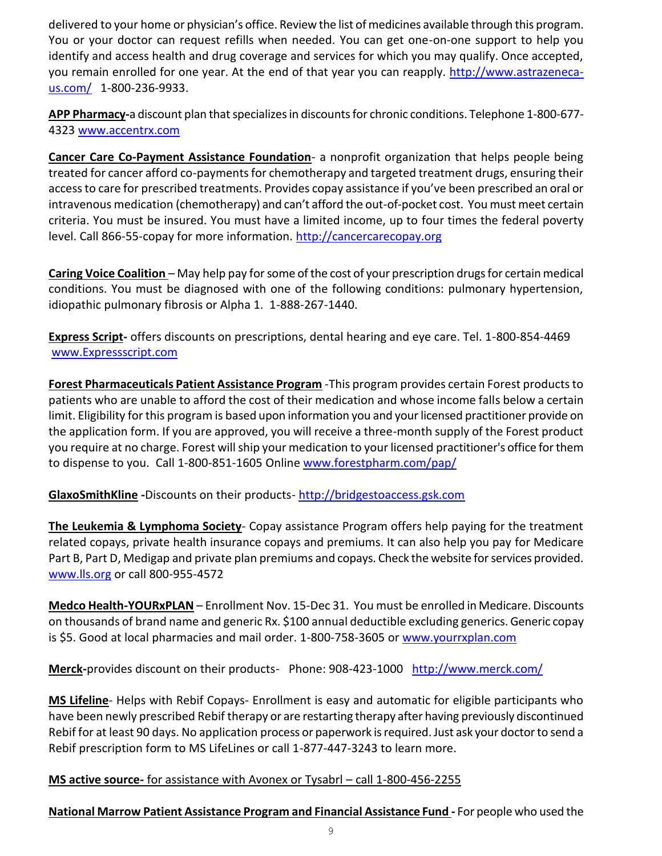delivered to your home or physician's office. Review the list of medicines available through this program. You or your doctor can request refills when needed. You can get one-on-one support to help you identify and access health and drug coverage and services for which you may qualify. Once accepted, you remain enrolled for one year. At the end of that year you can reapply. [http://www.astrazeneca](http://www.astrazeneca-us.com/)[us.com/](http://www.astrazeneca-us.com/) 1-800-236-9933.

**APP Pharmacy-**a discount plan that specializes in discounts for chronic conditions. Telephone 1-800-677- 4323 [www.accentrx.com](http://www.accentrx.com/)

**Cancer Care Co-Payment Assistance Foundation**- a nonprofit organization that helps people being treated for cancer afford co-payments for chemotherapy and targeted treatment drugs, ensuring their access to care for prescribed treatments. Provides copay assistance if you've been prescribed an oral or intravenous medication (chemotherapy) and can't afford the out-of-pocket cost. You must meet certain criteria. You must be insured. You must have a limited income, up to four times the federal poverty level. Call 866-55-copay for more information. [http://cancercarecopay.org](http://cancercarecopay.org/)

**Caring Voice Coalition** – May help pay for some of the cost of your prescription drugs for certain medical conditions. You must be diagnosed with one of the following conditions: pulmonary hypertension, idiopathic pulmonary fibrosis or Alpha 1. 1-888-267-1440.

**Express Script-** offers discounts on prescriptions, dental hearing and eye care. Tel. 1-800-854-4469 [www.Expressscript.com](http://www.expressscript.com/)

**Forest Pharmaceuticals Patient Assistance Program** -This program provides certain Forest products to patients who are unable to afford the cost of their medication and whose income falls below a certain limit. Eligibility for this program is based upon information you and your licensed practitioner provide on the application form. If you are approved, you will receive a three-month supply of the Forest product you require at no charge. Forest will ship your medication to your licensed practitioner's office for them to dispense to you. Call 1-800-851-1605 Online [www.forestpharm.com/pap/](http://www.forestpharm.com/pap/)

**GlaxoSmithKline -**Discounts on their products- [http://bridgestoaccess.gsk.com](http://bridgestoaccess.gsk.com/)

**The Leukemia & Lymphoma Society**- Copay assistance Program offers help paying for the treatment related copays, private health insurance copays and premiums. It can also help you pay for Medicare Part B, Part D, Medigap and private plan premiums and copays. Check the website for services provided. [www.lls.org](http://www.lls.org/) or call 800-955-4572

**Medco Health-YOURxPLAN** – Enrollment Nov. 15-Dec 31. You must be enrolled in Medicare. Discounts on thousands of brand name and generic Rx. \$100 annual deductible excluding generics. Generic copay is \$5. Good at local pharmacies and mail order. 1-800-758-3605 or [www.yourrxplan.com](http://www.yourrxplan.com/)

**Merck-**provides discount on their products- Phone: 908-423-1000 <http://www.merck.com/>

**MS Lifeline**- Helps with Rebif Copays- Enrollment is easy and automatic for eligible participants who have been newly prescribed Rebif therapy or are restarting therapy after having previously discontinued Rebif for at least 90 days. No application process or paperwork is required. Just ask your doctor to send a Rebif prescription form to MS LifeLines or call 1-877-447-3243 to learn more.

#### **MS active source-** for assistance with Avonex or Tysabrl – call 1-800-456-2255

**National Marrow Patient Assistance Program and Financial Assistance Fund -** For people who used the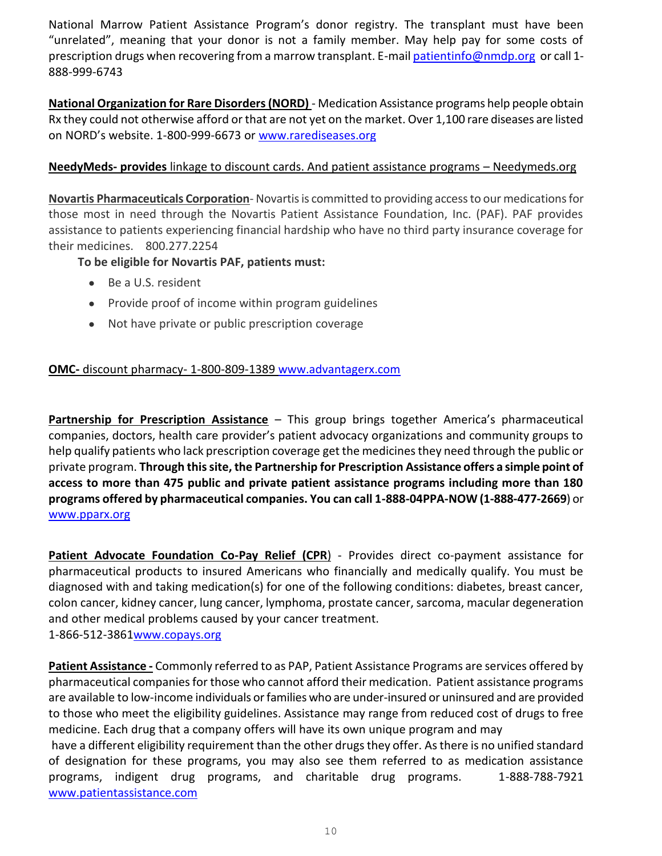National Marrow Patient Assistance Program's donor registry. The transplant must have been "unrelated", meaning that your donor is not a family member. May help pay for some costs of prescription drugs when recovering from a marrow transplant. E-mai[l patientinfo@nmdp.org](mailto:patientinfo@nmdp.org) or call 1- 888-999-6743

**National Organization for Rare Disorders (NORD)** - Medication Assistance programs help people obtain Rx they could not otherwise afford or that are not yet on the market. Over 1,100 rare diseases are listed on NORD's website. 1-800-999-6673 or [www.rarediseases.org](http://www.rarediseases.org/)

#### **NeedyMeds- provides** linkage to discount cards. And patient assistance programs – Needymeds.org

**Novartis Pharmaceuticals Corporation**- Novartis is committed to providing access to our medications for those most in need through the Novartis Patient Assistance Foundation, Inc. (PAF). PAF provides assistance to patients experiencing financial hardship who have no third party insurance coverage for their medicines. 800.277.2254

#### **To be eligible for Novartis PAF, patients must:**

- Be a U.S. resident
- Provide proof of income within program guidelines
- Not have private or public prescription coverage

#### **OMC-** discount pharmacy- 1-800-809-1389 [www.advantagerx.com](http://www.advantagerx.com/)

**Partnership for Prescription Assistance** – This group brings together America's pharmaceutical companies, doctors, health care provider's patient advocacy organizations and community groups to help qualify patients who lack prescription coverage get the medicines they need through the public or private program. **Through this site, the Partnership for Prescription Assistance offers a simple point of access to more than 475 public and private patient assistance programs including more than 180 programs offered by pharmaceutical companies. You can call 1-888-04PPA-NOW (1-888-477-2669**) or [www.pparx.org](http://www.pparx.org/)

**Patient Advocate Foundation Co-Pay Relief (CPR**) - Provides direct co-payment assistance for pharmaceutical products to insured Americans who financially and medically qualify. You must be diagnosed with and taking medication(s) for one of the following conditions: diabetes, breast cancer, colon cancer, kidney cancer, lung cancer, lymphoma, prostate cancer, sarcoma, macular degeneration and other medical problems caused by your cancer treatment. 1-866-512-386[1www.copays.org](http://www.copays.org/)

**Patient Assistance -** Commonly referred to as PAP, Patient Assistance Programs are services offered by pharmaceutical companies for those who cannot afford their medication. Patient assistance programs are available to low-income individuals or families who are under-insured or uninsured and are provided to those who meet the eligibility guidelines. Assistance may range from reduced cost of drugs to free

medicine. Each drug that a company offers will have its own unique program and may have a different eligibility requirement than the other drugs they offer. As there is no unified standard of designation for these programs, you may also see them referred to as medication assistance programs, indigent drug programs, and charitable drug programs. 1-888-788-7921 [www.patientassistance.com](http://www.patientassistance.com/)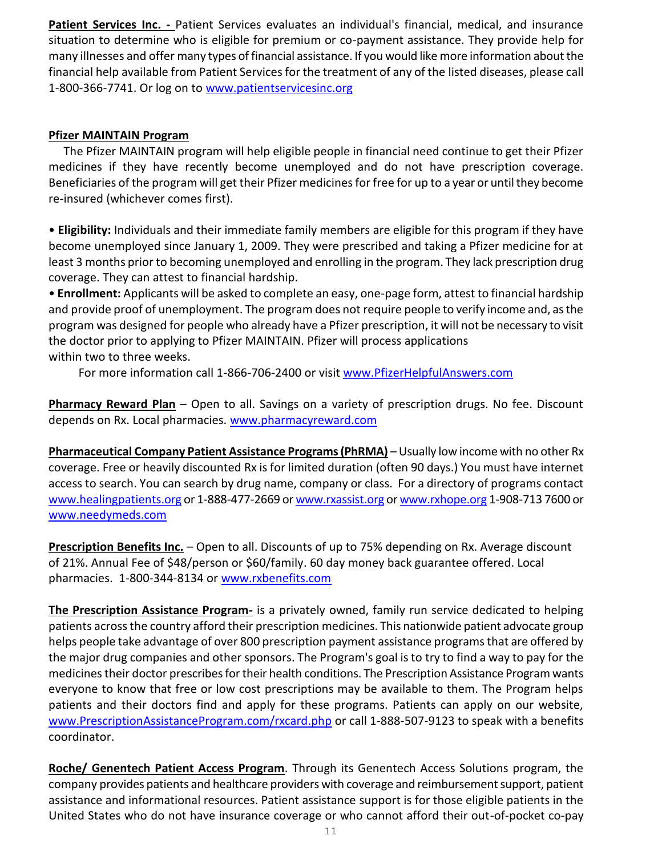**Patient Services Inc. -** Patient Services evaluates an individual's financial, medical, and insurance situation to determine who is eligible for premium or co-payment assistance. They provide help for many illnesses and offer many types of financial assistance. If you would like more information about the financial help available from Patient Services for the treatment of any of th[e listed diseases,](https://www.patientservicesinc.org/how-we-help/financial-assistance-programs.asp) please call 1-800-366-7741. Or log on to [www.patientservicesinc.org](http://www.patientservicesinc.org/)

#### **Pfizer MAINTAIN Program**

 The Pfizer MAINTAIN program will help eligible people in financial need continue to get their Pfizer medicines if they have recently become unemployed and do not have prescription coverage. Beneficiaries of the program will get their Pfizer medicines for free for up to a year or until they become re-insured (whichever comes first).

• **Eligibility:** Individuals and their immediate family members are eligible for this program if they have become unemployed since January 1, 2009. They were prescribed and taking a Pfizer medicine for at least 3 months prior to becoming unemployed and enrolling in the program. They lack prescription drug coverage. They can attest to financial hardship.

• **Enrollment:** Applicants will be asked to complete an easy, one-page form, attest to financial hardship and provide proof of unemployment. The program does not require people to verify income and, as the program was designed for people who already have a Pfizer prescription, it will not be necessary to visit the doctor prior to applying to Pfizer MAINTAIN. Pfizer will process applications within two to three weeks.

For more information call 1-866-706-2400 or visit [www.PfizerHelpfulAnswers.com](http://www.pfizerhelpfulanswers.com/)

**Pharmacy Reward Plan** – Open to all. Savings on a variety of prescription drugs. No fee. Discount depends on Rx. Local pharmacies. [www.pharmacyreward.com](http://www.pharmacyreward.com/)

**Pharmaceutical Company Patient Assistance Programs (PhRMA)** – Usually low income with no other Rx coverage. Free or heavily discounted Rx is for limited duration (often 90 days.) You must have internet access to search. You can search by drug name, company or class. For a directory of programs contact [www.healingpatients.org](http://www.healingpatients.org/) or 1-888-477-2669 o[r www.rxassist.org](http://www.rxassist.org/) or [www.rxhope.org](http://www.rxhope.org/) 1-908-713 7600 or [www.needymeds.com](http://www.needymeds.com/)

**Prescription Benefits Inc.** – Open to all. Discounts of up to 75% depending on Rx. Average discount of 21%. Annual Fee of \$48/person or \$60/family. 60 day money back guarantee offered. Local pharmacies. 1-800-344-8134 or [www.rxbenefits.com](http://www.rxbenefits.com/)

**The Prescription Assistance Program-** is a privately owned, family run service dedicated to helping patients across the country afford their prescription medicines. This nationwide patient advocate group helps people take advantage of over 800 prescription payment assistance programs that are offered by the major drug companies and other sponsors. The Program's goal is to try to find a way to pay for the medicines their doctor prescribes for their health conditions. The Prescription Assistance Program wants everyone to know that free or low cost prescriptions may be available to them. The Program helps patients and their doctors find and apply for these programs. Patients can apply on our website, [www.PrescriptionAssistanceProgram.com/rxcard.php](http://www.prescriptionassistanceprogram.com/rxcard.php) or call 1-888-507-9123 to speak with a benefits coordinator.

**Roche/ Genentech Patient Access Program**. Through its Genentech Access Solutions program, the company provides patients and healthcare providers with coverage and reimbursement support, patient assistance and informational resources. Patient assistance support is for those eligible patients in the United States who do not have insurance coverage or who cannot afford their out-of-pocket co-pay